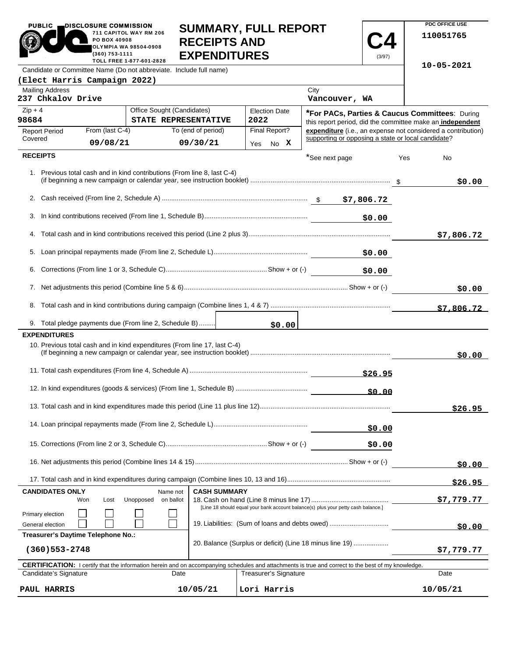| <b>_DISCLOSURE COMMISSION</b><br><b>PUBLIC</b><br>711 CAPITOL WAY RM 206<br>PO BOX 40908<br><b>OLYMPIA WA 98504-0908</b><br>(360) 753-1111<br>TOLL FREE 1-877-601-2828 | <b>SUMMARY, FULL REPORT</b><br><b>RECEIPTS AND</b><br><b>EXPENDITURES</b> | (3/97) |
|------------------------------------------------------------------------------------------------------------------------------------------------------------------------|---------------------------------------------------------------------------|--------|
| Candidate or Committee Name (Do not abbreviate. Include full name)                                                                                                     |                                                                           |        |
| (Elect Harris Campaign 2022)                                                                                                                                           |                                                                           |        |
| <b>Mailing Address</b><br>237 Chkalov Drive                                                                                                                            | City<br>Vancouver, WA                                                     |        |

**PDC OFFICE USE 110051765**

**10-05-2021**

| <b>Malilly Augress</b><br>237 Chkalov Drive |                                    |                                                                           |                     |                              | ખા∀<br>Vancouver, WA                                                                                                                                       |     |              |
|---------------------------------------------|------------------------------------|---------------------------------------------------------------------------|---------------------|------------------------------|------------------------------------------------------------------------------------------------------------------------------------------------------------|-----|--------------|
| $Zip + 4$<br>98684                          |                                    | Office Sought (Candidates)<br><b>STATE REPRESENTATIVE</b>                 |                     | <b>Election Date</b><br>2022 | *For PACs, Parties & Caucus Committees: During<br>this report period, did the committee make an independent                                                |     |              |
| <b>Report Period</b><br>Covered             | From (last C-4)                    |                                                                           | To (end of period)  | Final Report?                | expenditure (i.e., an expense not considered a contribution)<br>supporting or opposing a state or local candidate?                                         |     |              |
|                                             | 09/08/21                           |                                                                           | 09/30/21            | No X<br>Yes                  |                                                                                                                                                            |     |              |
| <b>RECEIPTS</b>                             |                                    |                                                                           |                     |                              | *See next page                                                                                                                                             | Yes | No           |
|                                             |                                    | 1. Previous total cash and in kind contributions (From line 8, last C-4)  |                     |                              |                                                                                                                                                            |     | \$0.00       |
|                                             |                                    |                                                                           |                     |                              |                                                                                                                                                            |     |              |
|                                             |                                    |                                                                           |                     |                              | \$0.00                                                                                                                                                     |     |              |
|                                             |                                    |                                                                           |                     |                              |                                                                                                                                                            |     | \$7,806.72   |
|                                             |                                    |                                                                           |                     |                              | \$0.00                                                                                                                                                     |     |              |
| 6.                                          |                                    |                                                                           |                     |                              | \$0.00                                                                                                                                                     |     |              |
|                                             |                                    |                                                                           |                     |                              |                                                                                                                                                            |     | \$0.00       |
|                                             |                                    |                                                                           |                     |                              |                                                                                                                                                            |     | \$7,806.72   |
|                                             |                                    | 9. Total pledge payments due (From line 2, Schedule B)                    |                     | \$0.00                       |                                                                                                                                                            |     |              |
| <b>EXPENDITURES</b>                         |                                    |                                                                           |                     |                              |                                                                                                                                                            |     |              |
|                                             |                                    | 10. Previous total cash and in kind expenditures (From line 17, last C-4) |                     |                              |                                                                                                                                                            |     | \$0.00       |
|                                             |                                    |                                                                           |                     |                              |                                                                                                                                                            |     |              |
|                                             |                                    |                                                                           |                     |                              |                                                                                                                                                            |     |              |
|                                             |                                    |                                                                           |                     |                              |                                                                                                                                                            |     | \$26.95      |
|                                             |                                    |                                                                           |                     |                              | \$0.00                                                                                                                                                     |     |              |
|                                             |                                    |                                                                           |                     |                              | \$0.00                                                                                                                                                     |     |              |
|                                             |                                    |                                                                           |                     |                              | Show $+$ or $(-)$                                                                                                                                          |     | <u>so.oo</u> |
|                                             |                                    |                                                                           |                     |                              |                                                                                                                                                            |     |              |
| <b>CANDIDATES ONLY</b>                      |                                    | Name not                                                                  | <b>CASH SUMMARY</b> |                              |                                                                                                                                                            |     | \$26.95      |
|                                             | Lost<br>Won                        | Unopposed<br>on ballot                                                    |                     |                              | [Line 18 should equal your bank account balance(s) plus your petty cash balance.]                                                                          |     | \$7,779.77   |
| Primary election                            |                                    |                                                                           |                     |                              |                                                                                                                                                            |     |              |
| General election                            | Treasurer's Daytime Telephone No.: |                                                                           |                     |                              | 19. Liabilities: (Sum of loans and debts owed)                                                                                                             |     | \$0.00       |
| $(360)$ 553-2748                            |                                    |                                                                           |                     |                              | 20. Balance (Surplus or deficit) (Line 18 minus line 19)                                                                                                   |     | \$7,779.77   |
|                                             |                                    |                                                                           |                     |                              | <b>CERTIFICATION:</b> I certify that the information herein and on accompanying schedules and attachments is true and correct to the best of my knowledge. |     |              |
| Candidate's Signature                       |                                    | Date                                                                      |                     | <b>Treasurer's Signature</b> |                                                                                                                                                            |     | Date         |
| PAUL HARRIS                                 |                                    |                                                                           | 10/05/21            | Lori Harris                  |                                                                                                                                                            |     | 10/05/21     |